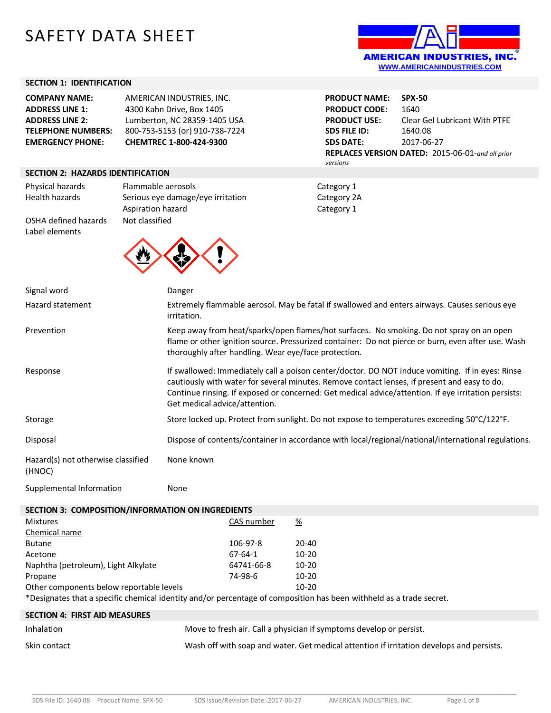# SAFETY DATA SHEET



#### **SECTION 1: IDENTIFICATION**

| <b>COMPANY NAME:</b>      | AMERICAN INDUSTRIES, INC.      |
|---------------------------|--------------------------------|
| <b>ADDRESS LINE 1:</b>    | 4300 Kahn Drive, Box 1405      |
| <b>ADDRESS LINE 2:</b>    | Lumberton, NC 28359-1405 USA   |
| <b>TELEPHONE NUMBERS:</b> | 800-753-5153 (or) 910-738-7224 |
| <b>EMERGENCY PHONE:</b>   | CHEMTREC 1-800-424-9300        |

**PRODUCT NAME: SPX-50 PRODUCT CODE:** 1640 **PRODUCT USE:** Clear Gel Lubricant With PTFE **SDS FILE ID:** 1640.08 **SDS DATE:** 2017-06-27 **REPLACES VERSION DATED:** 2015-06-01-*and all prior versions*

## **SECTION 2: HAZARDS IDENTIFICATION**

Label elements

Physical hazards Flammable aerosols **Financial Example 2018** Category 1 Health hazards Serious eye damage/eye irritation Category 2A Aspiration hazard Category 1 OSHA defined hazards Not classified



| Signal word                                  | Danger                                                                                                                                                                                                                                                                                                                                    |
|----------------------------------------------|-------------------------------------------------------------------------------------------------------------------------------------------------------------------------------------------------------------------------------------------------------------------------------------------------------------------------------------------|
| Hazard statement                             | Extremely flammable aerosol. May be fatal if swallowed and enters airways. Causes serious eye<br>irritation.                                                                                                                                                                                                                              |
| Prevention                                   | Keep away from heat/sparks/open flames/hot surfaces. No smoking. Do not spray on an open<br>flame or other ignition source. Pressurized container: Do not pierce or burn, even after use. Wash<br>thoroughly after handling. Wear eye/face protection.                                                                                    |
| Response                                     | If swallowed: Immediately call a poison center/doctor. DO NOT induce vomiting. If in eyes: Rinse<br>cautiously with water for several minutes. Remove contact lenses, if present and easy to do.<br>Continue rinsing. If exposed or concerned: Get medical advice/attention. If eye irritation persists:<br>Get medical advice/attention. |
| Storage                                      | Store locked up. Protect from sunlight. Do not expose to temperatures exceeding 50°C/122°F.                                                                                                                                                                                                                                               |
| Disposal                                     | Dispose of contents/container in accordance with local/regional/national/international regulations.                                                                                                                                                                                                                                       |
| Hazard(s) not otherwise classified<br>(HNOC) | None known                                                                                                                                                                                                                                                                                                                                |

Supplemental Information **None** 

# **SECTION 3: COMPOSITION/INFORMATION ON INGREDIENTS**

| <b>Mixtures</b>                          | CAS number | $\frac{\%}{\sqrt{2}}$ |
|------------------------------------------|------------|-----------------------|
| Chemical name                            |            |                       |
| <b>Butane</b>                            | 106-97-8   | $20 - 40$             |
| Acetone                                  | 67-64-1    | $10 - 20$             |
| Naphtha (petroleum), Light Alkylate      | 64741-66-8 | $10 - 20$             |
| Propane                                  | 74-98-6    | $10 - 20$             |
| Other components below reportable levels |            | $10 - 20$             |
|                                          |            |                       |

\*Designates that a specific chemical identity and/or percentage of composition has been withheld as a trade secret.

| <b>SECTION 4: FIRST AID MEASURES</b> |                                                                                          |
|--------------------------------------|------------------------------------------------------------------------------------------|
| Inhalation                           | Move to fresh air. Call a physician if symptoms develop or persist.                      |
| Skin contact                         | Wash off with soap and water. Get medical attention if irritation develops and persists. |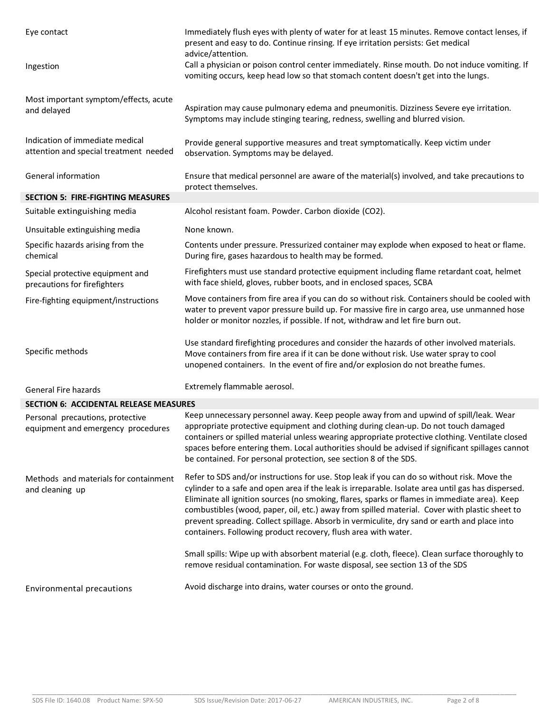| Eye contact                                                               | Immediately flush eyes with plenty of water for at least 15 minutes. Remove contact lenses, if<br>present and easy to do. Continue rinsing. If eye irritation persists: Get medical<br>advice/attention.                                                                                                                                                                                                                                                                                                                                                              |
|---------------------------------------------------------------------------|-----------------------------------------------------------------------------------------------------------------------------------------------------------------------------------------------------------------------------------------------------------------------------------------------------------------------------------------------------------------------------------------------------------------------------------------------------------------------------------------------------------------------------------------------------------------------|
| Ingestion                                                                 | Call a physician or poison control center immediately. Rinse mouth. Do not induce vomiting. If<br>vomiting occurs, keep head low so that stomach content doesn't get into the lungs.                                                                                                                                                                                                                                                                                                                                                                                  |
| Most important symptom/effects, acute<br>and delayed                      | Aspiration may cause pulmonary edema and pneumonitis. Dizziness Severe eye irritation.<br>Symptoms may include stinging tearing, redness, swelling and blurred vision.                                                                                                                                                                                                                                                                                                                                                                                                |
| Indication of immediate medical<br>attention and special treatment needed | Provide general supportive measures and treat symptomatically. Keep victim under<br>observation. Symptoms may be delayed.                                                                                                                                                                                                                                                                                                                                                                                                                                             |
| General information                                                       | Ensure that medical personnel are aware of the material(s) involved, and take precautions to<br>protect themselves.                                                                                                                                                                                                                                                                                                                                                                                                                                                   |
| <b>SECTION 5: FIRE-FIGHTING MEASURES</b>                                  |                                                                                                                                                                                                                                                                                                                                                                                                                                                                                                                                                                       |
| Suitable extinguishing media                                              | Alcohol resistant foam. Powder. Carbon dioxide (CO2).                                                                                                                                                                                                                                                                                                                                                                                                                                                                                                                 |
| Unsuitable extinguishing media                                            | None known.                                                                                                                                                                                                                                                                                                                                                                                                                                                                                                                                                           |
| Specific hazards arising from the<br>chemical                             | Contents under pressure. Pressurized container may explode when exposed to heat or flame.<br>During fire, gases hazardous to health may be formed.                                                                                                                                                                                                                                                                                                                                                                                                                    |
| Special protective equipment and<br>precautions for firefighters          | Firefighters must use standard protective equipment including flame retardant coat, helmet<br>with face shield, gloves, rubber boots, and in enclosed spaces, SCBA                                                                                                                                                                                                                                                                                                                                                                                                    |
| Fire-fighting equipment/instructions                                      | Move containers from fire area if you can do so without risk. Containers should be cooled with<br>water to prevent vapor pressure build up. For massive fire in cargo area, use unmanned hose<br>holder or monitor nozzles, if possible. If not, withdraw and let fire burn out.                                                                                                                                                                                                                                                                                      |
| Specific methods                                                          | Use standard firefighting procedures and consider the hazards of other involved materials.<br>Move containers from fire area if it can be done without risk. Use water spray to cool<br>unopened containers. In the event of fire and/or explosion do not breathe fumes.                                                                                                                                                                                                                                                                                              |
| General Fire hazards                                                      | Extremely flammable aerosol.                                                                                                                                                                                                                                                                                                                                                                                                                                                                                                                                          |
| <b>SECTION 6: ACCIDENTAL RELEASE MEASURES</b>                             |                                                                                                                                                                                                                                                                                                                                                                                                                                                                                                                                                                       |
| Personal precautions, protective<br>equipment and emergency procedures    | Keep unnecessary personnel away. Keep people away from and upwind of spill/leak. Wear<br>appropriate protective equipment and clothing during clean-up. Do not touch damaged<br>containers or spilled material unless wearing appropriate protective clothing. Ventilate closed<br>spaces before entering them. Local authorities should be advised if significant spillages cannot<br>be contained. For personal protection, see section 8 of the SDS.                                                                                                               |
| Methods and materials for containment<br>and cleaning up                  | Refer to SDS and/or instructions for use. Stop leak if you can do so without risk. Move the<br>cylinder to a safe and open area if the leak is irreparable. Isolate area until gas has dispersed.<br>Eliminate all ignition sources (no smoking, flares, sparks or flames in immediate area). Keep<br>combustibles (wood, paper, oil, etc.) away from spilled material. Cover with plastic sheet to<br>prevent spreading. Collect spillage. Absorb in vermiculite, dry sand or earth and place into<br>containers. Following product recovery, flush area with water. |
|                                                                           | Small spills: Wipe up with absorbent material (e.g. cloth, fleece). Clean surface thoroughly to<br>remove residual contamination. For waste disposal, see section 13 of the SDS                                                                                                                                                                                                                                                                                                                                                                                       |
| Environmental precautions                                                 | Avoid discharge into drains, water courses or onto the ground.                                                                                                                                                                                                                                                                                                                                                                                                                                                                                                        |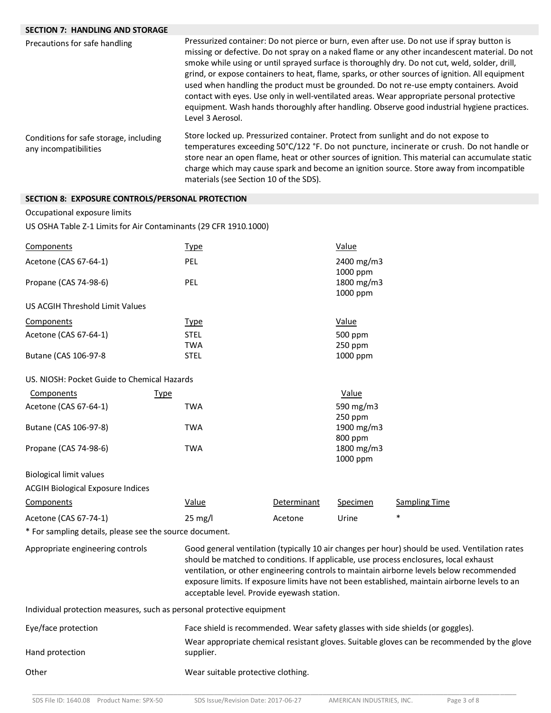## **SECTION 7: HANDLING AND STORAGE**

| Precautions for safe handling                                   | Pressurized container: Do not pierce or burn, even after use. Do not use if spray button is<br>missing or defective. Do not spray on a naked flame or any other incandescent material. Do not<br>smoke while using or until sprayed surface is thoroughly dry. Do not cut, weld, solder, drill,<br>grind, or expose containers to heat, flame, sparks, or other sources of ignition. All equipment<br>used when handling the product must be grounded. Do not re-use empty containers. Avoid<br>contact with eyes. Use only in well-ventilated areas. Wear appropriate personal protective<br>equipment. Wash hands thoroughly after handling. Observe good industrial hygiene practices.<br>Level 3 Aerosol. |  |  |
|-----------------------------------------------------------------|---------------------------------------------------------------------------------------------------------------------------------------------------------------------------------------------------------------------------------------------------------------------------------------------------------------------------------------------------------------------------------------------------------------------------------------------------------------------------------------------------------------------------------------------------------------------------------------------------------------------------------------------------------------------------------------------------------------|--|--|
| Conditions for safe storage, including<br>any incompatibilities | Store locked up. Pressurized container. Protect from sunlight and do not expose to<br>temperatures exceeding 50°C/122 °F. Do not puncture, incinerate or crush. Do not handle or<br>store near an open flame, heat or other sources of ignition. This material can accumulate static<br>charge which may cause spark and become an ignition source. Store away from incompatible<br>materials (see Section 10 of the SDS).                                                                                                                                                                                                                                                                                    |  |  |

## **SECTION 8: EXPOSURE CONTROLS/PERSONAL PROTECTION**

## Occupational exposure limits

US OSHA Table Z-1 Limits for Air Contaminants (29 CFR 1910.1000)

| Components                                                            | <b>Type</b>       |                                            | Value      |                                                                                                |  |  |
|-----------------------------------------------------------------------|-------------------|--------------------------------------------|------------|------------------------------------------------------------------------------------------------|--|--|
| Acetone (CAS 67-64-1)                                                 | PEL               |                                            | 2400 mg/m3 |                                                                                                |  |  |
|                                                                       |                   |                                            | 1000 ppm   |                                                                                                |  |  |
| Propane (CAS 74-98-6)                                                 | PEL               |                                            | 1800 mg/m3 |                                                                                                |  |  |
|                                                                       |                   |                                            | 1000 ppm   |                                                                                                |  |  |
| US ACGIH Threshold Limit Values                                       |                   |                                            |            |                                                                                                |  |  |
| Components                                                            | Type              |                                            | Value      |                                                                                                |  |  |
| Acetone (CAS 67-64-1)                                                 | <b>STEL</b>       |                                            | 500 ppm    |                                                                                                |  |  |
|                                                                       | <b>TWA</b>        |                                            | 250 ppm    |                                                                                                |  |  |
| Butane (CAS 106-97-8                                                  | <b>STEL</b>       |                                            | 1000 ppm   |                                                                                                |  |  |
| US. NIOSH: Pocket Guide to Chemical Hazards                           |                   |                                            |            |                                                                                                |  |  |
| Components                                                            | <u>Type</u>       |                                            | Value      |                                                                                                |  |  |
| Acetone (CAS 67-64-1)                                                 | <b>TWA</b>        |                                            | 590 mg/m3  |                                                                                                |  |  |
|                                                                       |                   |                                            | 250 ppm    |                                                                                                |  |  |
| Butane (CAS 106-97-8)                                                 | <b>TWA</b>        |                                            | 1900 mg/m3 |                                                                                                |  |  |
|                                                                       |                   |                                            | 800 ppm    |                                                                                                |  |  |
| Propane (CAS 74-98-6)                                                 | <b>TWA</b>        |                                            | 1800 mg/m3 |                                                                                                |  |  |
|                                                                       |                   |                                            | 1000 ppm   |                                                                                                |  |  |
| <b>Biological limit values</b>                                        |                   |                                            |            |                                                                                                |  |  |
| <b>ACGIH Biological Exposure Indices</b>                              |                   |                                            |            |                                                                                                |  |  |
| Components                                                            | Value             | Determinant                                | Specimen   | <b>Sampling Time</b>                                                                           |  |  |
| Acetone (CAS 67-74-1)                                                 | $25 \text{ mg/l}$ | Acetone                                    | Urine      | $\ast$                                                                                         |  |  |
| * For sampling details, please see the source document.               |                   |                                            |            |                                                                                                |  |  |
| Appropriate engineering controls                                      |                   |                                            |            | Good general ventilation (typically 10 air changes per hour) should be used. Ventilation rates |  |  |
|                                                                       |                   |                                            |            | should be matched to conditions. If applicable, use process enclosures, local exhaust          |  |  |
|                                                                       |                   |                                            |            | ventilation, or other engineering controls to maintain airborne levels below recommended       |  |  |
|                                                                       |                   |                                            |            | exposure limits. If exposure limits have not been established, maintain airborne levels to an  |  |  |
|                                                                       |                   | acceptable level. Provide eyewash station. |            |                                                                                                |  |  |
| Individual protection measures, such as personal protective equipment |                   |                                            |            |                                                                                                |  |  |
| Eye/face protection                                                   |                   |                                            |            | Face shield is recommended. Wear safety glasses with side shields (or goggles).                |  |  |

Hand protection Wear appropriate chemical resistant gloves. Suitable gloves can be recommended by the glove supplier.

Other **Wear suitable protective clothing**.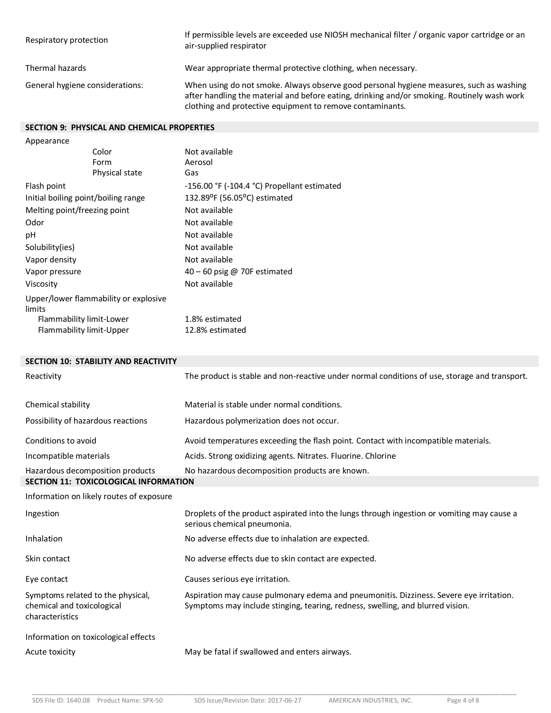| Respiratory protection          | If permissible levels are exceeded use NIOSH mechanical filter / organic vapor cartridge or an<br>air-supplied respirator                                                                                                                           |
|---------------------------------|-----------------------------------------------------------------------------------------------------------------------------------------------------------------------------------------------------------------------------------------------------|
| Thermal hazards                 | Wear appropriate thermal protective clothing, when necessary.                                                                                                                                                                                       |
| General hygiene considerations: | When using do not smoke. Always observe good personal hygiene measures, such as washing<br>after handling the material and before eating, drinking and/or smoking. Routinely wash work<br>clothing and protective equipment to remove contaminants. |

## **SECTION 9: PHYSICAL AND CHEMICAL PROPERTIES**

| Not available                                    |
|--------------------------------------------------|
| Aerosol                                          |
| Gas                                              |
| $-156.00$ °F ( $-104.4$ °C) Propellant estimated |
| 132.89°F (56.05°C) estimated                     |
| Not available                                    |
| Not available                                    |
| Not available                                    |
| Not available                                    |
| Not available                                    |
| 40 - 60 psig @ 70F estimated                     |
| Not available                                    |
|                                                  |
| 1.8% estimated                                   |
| 12.8% estimated                                  |
|                                                  |

# **SECTION 10: STABILITY AND REACTIVITY**

| Reactivity                                                                         | The product is stable and non-reactive under normal conditions of use, storage and transport.                                                                             |  |  |  |
|------------------------------------------------------------------------------------|---------------------------------------------------------------------------------------------------------------------------------------------------------------------------|--|--|--|
| Chemical stability                                                                 | Material is stable under normal conditions.                                                                                                                               |  |  |  |
| Possibility of hazardous reactions                                                 | Hazardous polymerization does not occur.                                                                                                                                  |  |  |  |
| Conditions to avoid                                                                | Avoid temperatures exceeding the flash point. Contact with incompatible materials.                                                                                        |  |  |  |
| Incompatible materials                                                             | Acids. Strong oxidizing agents. Nitrates. Fluorine. Chlorine                                                                                                              |  |  |  |
| Hazardous decomposition products                                                   | No hazardous decomposition products are known.                                                                                                                            |  |  |  |
| <b>SECTION 11: TOXICOLOGICAL INFORMATION</b>                                       |                                                                                                                                                                           |  |  |  |
| Information on likely routes of exposure                                           |                                                                                                                                                                           |  |  |  |
| Ingestion                                                                          | Droplets of the product aspirated into the lungs through ingestion or vomiting may cause a<br>serious chemical pneumonia.                                                 |  |  |  |
| Inhalation                                                                         | No adverse effects due to inhalation are expected.                                                                                                                        |  |  |  |
| Skin contact                                                                       | No adverse effects due to skin contact are expected.                                                                                                                      |  |  |  |
| Eye contact                                                                        | Causes serious eye irritation.                                                                                                                                            |  |  |  |
| Symptoms related to the physical,<br>chemical and toxicological<br>characteristics | Aspiration may cause pulmonary edema and pneumonitis. Dizziness. Severe eye irritation.<br>Symptoms may include stinging, tearing, redness, swelling, and blurred vision. |  |  |  |
| Information on toxicological effects                                               |                                                                                                                                                                           |  |  |  |
| Acute toxicity                                                                     | May be fatal if swallowed and enters airways.                                                                                                                             |  |  |  |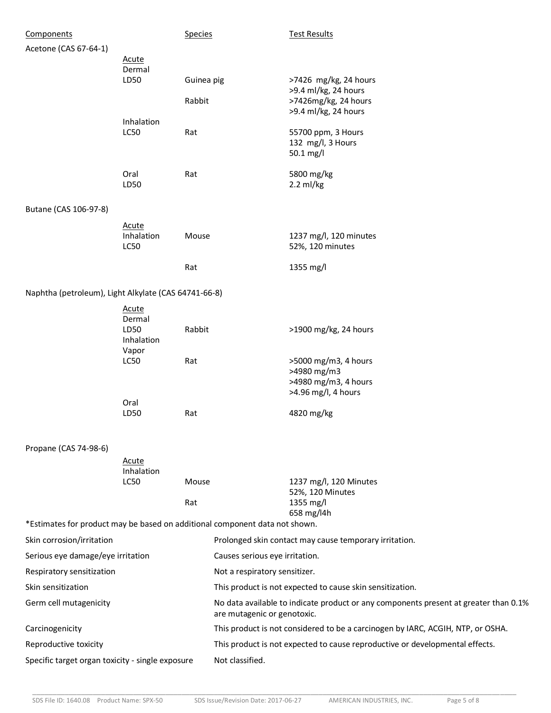| Components                                                                  |                                              | <b>Species</b>                                                               |                             | <b>Test Results</b>                                                                  |
|-----------------------------------------------------------------------------|----------------------------------------------|------------------------------------------------------------------------------|-----------------------------|--------------------------------------------------------------------------------------|
| Acetone (CAS 67-64-1)                                                       | <b>Acute</b>                                 |                                                                              |                             |                                                                                      |
|                                                                             | Dermal                                       |                                                                              |                             |                                                                                      |
|                                                                             | LD50                                         | Guinea pig                                                                   |                             | >7426 mg/kg, 24 hours<br>>9.4 ml/kg, 24 hours                                        |
|                                                                             |                                              | Rabbit                                                                       |                             | >7426mg/kg, 24 hours<br>>9.4 ml/kg, 24 hours                                         |
|                                                                             | Inhalation<br><b>LC50</b>                    | Rat                                                                          |                             | 55700 ppm, 3 Hours<br>132 mg/l, 3 Hours<br>50.1 mg/l                                 |
|                                                                             | Oral<br>LD50                                 | Rat                                                                          |                             | 5800 mg/kg<br>$2.2$ ml/kg                                                            |
| Butane (CAS 106-97-8)                                                       |                                              |                                                                              |                             |                                                                                      |
|                                                                             | Acute<br>Inhalation<br>LC50                  | Mouse                                                                        |                             | 1237 mg/l, 120 minutes<br>52%, 120 minutes                                           |
|                                                                             |                                              | Rat                                                                          |                             | 1355 mg/l                                                                            |
| Naphtha (petroleum), Light Alkylate (CAS 64741-66-8)                        |                                              |                                                                              |                             |                                                                                      |
|                                                                             | <b>Acute</b><br>Dermal<br>LD50<br>Inhalation | Rabbit                                                                       |                             | >1900 mg/kg, 24 hours                                                                |
|                                                                             | Vapor<br>LC50                                | Rat                                                                          |                             | >5000 mg/m3, 4 hours<br>>4980 mg/m3<br>>4980 mg/m3, 4 hours<br>>4.96 mg/l, 4 hours   |
|                                                                             | Oral<br>LD50                                 | Rat                                                                          |                             | 4820 mg/kg                                                                           |
| Propane (CAS 74-98-6)                                                       |                                              |                                                                              |                             |                                                                                      |
|                                                                             | Acute<br>Inhalation<br><b>LC50</b>           | Mouse                                                                        |                             | 1237 mg/l, 120 Minutes                                                               |
|                                                                             |                                              | Rat                                                                          |                             | 52%, 120 Minutes<br>1355 mg/l<br>658 mg/l4h                                          |
| *Estimates for product may be based on additional component data not shown. |                                              |                                                                              |                             |                                                                                      |
| Skin corrosion/irritation                                                   |                                              | Prolonged skin contact may cause temporary irritation.                       |                             |                                                                                      |
| Serious eye damage/eye irritation                                           |                                              | Causes serious eye irritation.                                               |                             |                                                                                      |
| Respiratory sensitization                                                   |                                              | Not a respiratory sensitizer.                                                |                             |                                                                                      |
| Skin sensitization                                                          |                                              | This product is not expected to cause skin sensitization.                    |                             |                                                                                      |
| Germ cell mutagenicity                                                      |                                              |                                                                              | are mutagenic or genotoxic. | No data available to indicate product or any components present at greater than 0.1% |
| Carcinogenicity                                                             |                                              |                                                                              |                             | This product is not considered to be a carcinogen by IARC, ACGIH, NTP, or OSHA.      |
| Reproductive toxicity                                                       |                                              | This product is not expected to cause reproductive or developmental effects. |                             |                                                                                      |
| Specific target organ toxicity - single exposure                            |                                              | Not classified.                                                              |                             |                                                                                      |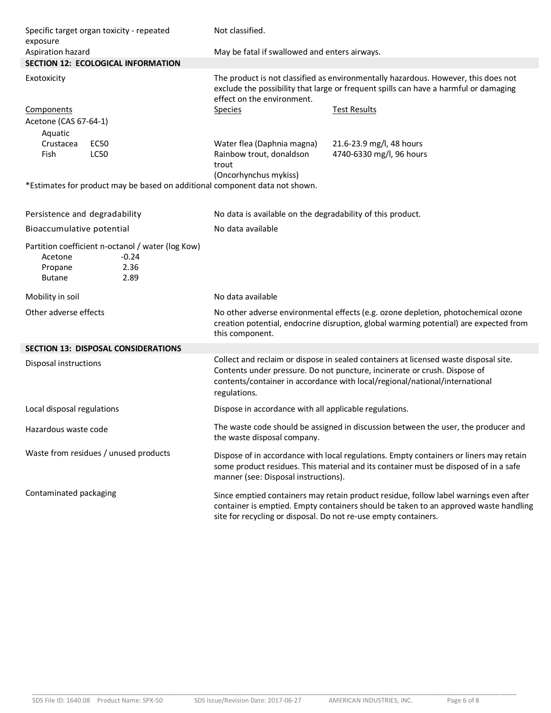| Specific target organ toxicity - repeated<br>exposure                                     |                         | Not classified.                                                                                                                                                                                                                                                  |                                                                                                                                                                            |  |
|-------------------------------------------------------------------------------------------|-------------------------|------------------------------------------------------------------------------------------------------------------------------------------------------------------------------------------------------------------------------------------------------------------|----------------------------------------------------------------------------------------------------------------------------------------------------------------------------|--|
| Aspiration hazard                                                                         |                         | May be fatal if swallowed and enters airways.                                                                                                                                                                                                                    |                                                                                                                                                                            |  |
| <b>SECTION 12: ECOLOGICAL INFORMATION</b>                                                 |                         |                                                                                                                                                                                                                                                                  |                                                                                                                                                                            |  |
| Exotoxicity                                                                               |                         | The product is not classified as environmentally hazardous. However, this does not<br>exclude the possibility that large or frequent spills can have a harmful or damaging<br>effect on the environment.                                                         |                                                                                                                                                                            |  |
| <b>Components</b>                                                                         |                         | <b>Species</b>                                                                                                                                                                                                                                                   | <b>Test Results</b>                                                                                                                                                        |  |
| Acetone (CAS 67-64-1)                                                                     |                         |                                                                                                                                                                                                                                                                  |                                                                                                                                                                            |  |
| Aquatic                                                                                   |                         |                                                                                                                                                                                                                                                                  |                                                                                                                                                                            |  |
| Crustacea<br><b>EC50</b><br>Fish<br><b>LC50</b>                                           |                         | Water flea (Daphnia magna)<br>Rainbow trout, donaldson<br>trout                                                                                                                                                                                                  | 21.6-23.9 mg/l, 48 hours<br>4740-6330 mg/l, 96 hours                                                                                                                       |  |
|                                                                                           |                         | (Oncorhynchus mykiss)<br>*Estimates for product may be based on additional component data not shown.                                                                                                                                                             |                                                                                                                                                                            |  |
| Persistence and degradability                                                             |                         | No data is available on the degradability of this product.                                                                                                                                                                                                       |                                                                                                                                                                            |  |
| Bioaccumulative potential                                                                 |                         | No data available                                                                                                                                                                                                                                                |                                                                                                                                                                            |  |
| Partition coefficient n-octanol / water (log Kow)<br>Acetone<br>Propane<br><b>Butane</b>  | $-0.24$<br>2.36<br>2.89 |                                                                                                                                                                                                                                                                  |                                                                                                                                                                            |  |
| Mobility in soil                                                                          |                         | No data available                                                                                                                                                                                                                                                |                                                                                                                                                                            |  |
| Other adverse effects                                                                     |                         | this component.                                                                                                                                                                                                                                                  | No other adverse environmental effects (e.g. ozone depletion, photochemical ozone<br>creation potential, endocrine disruption, global warming potential) are expected from |  |
| <b>SECTION 13: DISPOSAL CONSIDERATIONS</b>                                                |                         |                                                                                                                                                                                                                                                                  |                                                                                                                                                                            |  |
| Disposal instructions                                                                     |                         | Collect and reclaim or dispose in sealed containers at licensed waste disposal site.<br>Contents under pressure. Do not puncture, incinerate or crush. Dispose of<br>contents/container in accordance with local/regional/national/international<br>regulations. |                                                                                                                                                                            |  |
| Local disposal regulations                                                                |                         | Dispose in accordance with all applicable regulations.                                                                                                                                                                                                           |                                                                                                                                                                            |  |
| Hazardous waste code                                                                      |                         | The waste code should be assigned in discussion between the user, the producer and<br>the waste disposal company.                                                                                                                                                |                                                                                                                                                                            |  |
| Waste from residues / unused products                                                     |                         | Dispose of in accordance with local regulations. Empty containers or liners may retain<br>some product residues. This material and its container must be disposed of in a safe<br>manner (see: Disposal instructions).                                           |                                                                                                                                                                            |  |
| Contaminated packaging<br>site for recycling or disposal. Do not re-use empty containers. |                         | Since emptied containers may retain product residue, follow label warnings even after<br>container is emptied. Empty containers should be taken to an approved waste handling                                                                                    |                                                                                                                                                                            |  |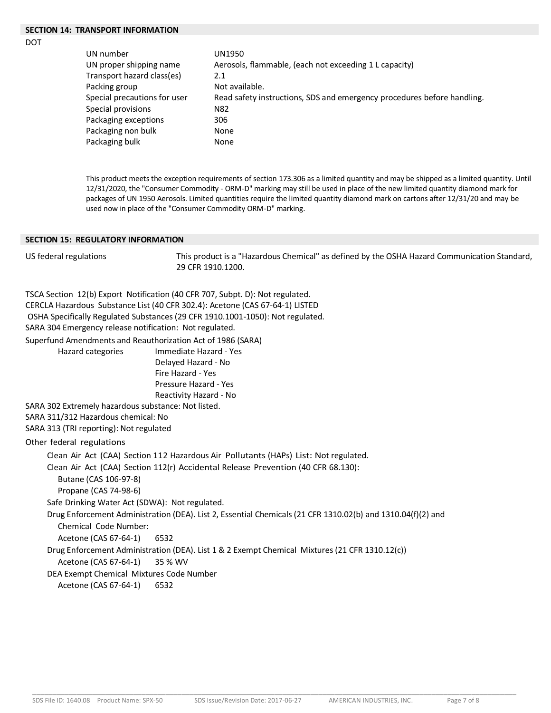## **SECTION 14: TRANSPORT INFORMATION**

DOT

| UN number                    | UN1950                                                                  |
|------------------------------|-------------------------------------------------------------------------|
| UN proper shipping name      | Aerosols, flammable, (each not exceeding 1 L capacity)                  |
| Transport hazard class(es)   | 2.1                                                                     |
| Packing group                | Not available.                                                          |
| Special precautions for user | Read safety instructions, SDS and emergency procedures before handling. |
| Special provisions           | N82                                                                     |
| Packaging exceptions         | 306                                                                     |
| Packaging non bulk           | None                                                                    |
| Packaging bulk               | None                                                                    |
|                              |                                                                         |

This product meets the exception requirements of section 173.306 as a limited quantity and may be shipped as a limited quantity. Until 12/31/2020, the "Consumer Commodity - ORM-D" marking may still be used in place of the new limited quantity diamond mark for packages of UN 1950 Aerosols. Limited quantities require the limited quantity diamond mark on cartons after 12/31/20 and may be used now in place of the "Consumer Commodity ORM-D" marking.

#### **SECTION 15: REGULATORY INFORMATION**

US federal regulations This product is a "Hazardous Chemical" as defined by the OSHA Hazard Communication Standard, 29 CFR 1910.1200.

TSCA Section 12(b) Export Notification (40 CFR 707, Subpt. D): Not regulated. CERCLA Hazardous Substance List (40 CFR 302.4): Acetone (CAS 67-64-1) LISTED OSHA Specifically Regulated Substances (29 CFR 1910.1001-1050): Not regulated. SARA 304 Emergency release notification: Not regulated. Superfund Amendments and Reauthorization Act of 1986 (SARA) Hazard categories Immediate Hazard - Yes Delayed Hazard - No Fire Hazard - Yes Pressure Hazard - Yes Reactivity Hazard - No SARA 302 Extremely hazardous substance: Not listed. SARA 311/312 Hazardous chemical: No SARA 313 (TRI reporting): Not regulated Other federal regulations Clean Air Act (CAA) Section 112 Hazardous Air Pollutants (HAPs) List: Not regulated. Clean Air Act (CAA) Section 112(r) Accidental Release Prevention (40 CFR 68.130):

Butane (CAS 106-97-8) Propane (CAS 74-98-6) Safe Drinking Water Act (SDWA): Not regulated. Drug Enforcement Administration (DEA). List 2, Essential Chemicals (21 CFR 1310.02(b) and 1310.04(f)(2) and Chemical Code Number: Acetone (CAS 67-64-1) 6532 Drug Enforcement Administration (DEA). List 1 & 2 Exempt Chemical Mixtures (21 CFR 1310.12(c)) Acetone (CAS 67-64-1) 35 % WV DEA Exempt Chemical Mixtures Code Number Acetone (CAS 67-64-1) 6532